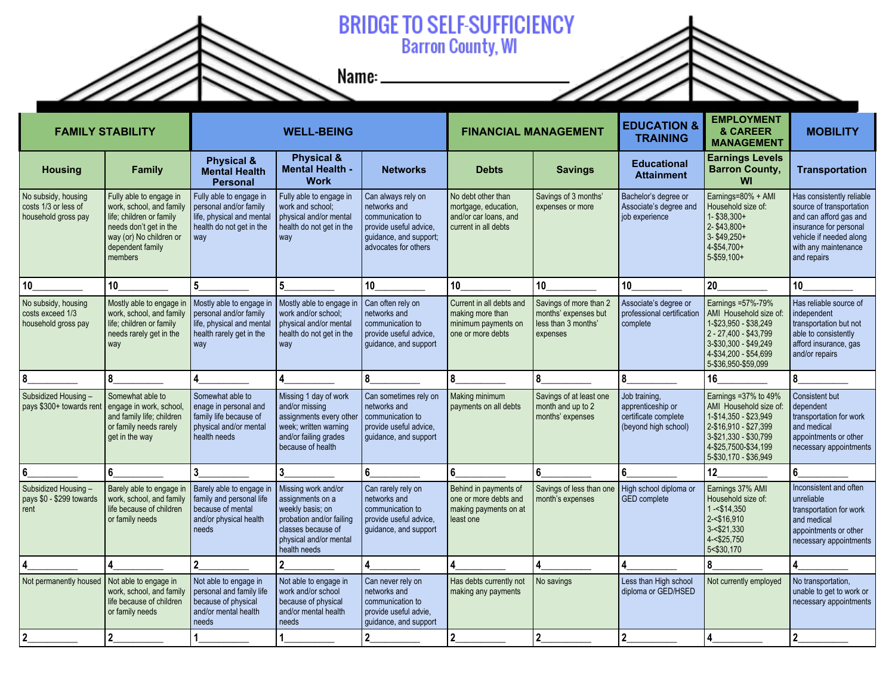

## **BRIDGE TO SELF-SUFFICIENCY**<br>Barron County, WI

Name:  $\overline{\phantom{a}}$ 

| <b>FAMILY STABILITY</b>                                            |                                                                                                                                                                     | <b>WELL-BEING</b>                                                                                                  |                                                                                                                                                         |                                                                                                                                    | <b>FINANCIAL MANAGEMENT</b>                                                                 |                                                                                   | <b>EDUCATION &amp;</b><br><b>TRAINING</b>                                          | <b>EMPLOYMENT</b><br>& CAREER<br><b>MANAGEMENT</b>                                                                                                                          | <b>MOBILITY</b>                                                                                                                                                             |
|--------------------------------------------------------------------|---------------------------------------------------------------------------------------------------------------------------------------------------------------------|--------------------------------------------------------------------------------------------------------------------|---------------------------------------------------------------------------------------------------------------------------------------------------------|------------------------------------------------------------------------------------------------------------------------------------|---------------------------------------------------------------------------------------------|-----------------------------------------------------------------------------------|------------------------------------------------------------------------------------|-----------------------------------------------------------------------------------------------------------------------------------------------------------------------------|-----------------------------------------------------------------------------------------------------------------------------------------------------------------------------|
| <b>Housing</b>                                                     | <b>Family</b>                                                                                                                                                       | <b>Physical &amp;</b><br><b>Mental Health</b><br><b>Personal</b>                                                   | <b>Physical &amp;</b><br><b>Mental Health -</b><br><b>Work</b>                                                                                          | <b>Networks</b>                                                                                                                    | <b>Debts</b>                                                                                | <b>Savings</b>                                                                    | <b>Educational</b><br><b>Attainment</b>                                            | <b>Earnings Levels</b><br><b>Barron County,</b><br>WI                                                                                                                       | <b>Transportation</b>                                                                                                                                                       |
| No subsidy, housing<br>costs 1/3 or less of<br>household gross pay | Fully able to engage in<br>work, school, and family<br>life; children or family<br>needs don't get in the<br>way (or) No children or<br>dependent family<br>members | Fully able to engage in<br>personal and/or family<br>life, physical and mental<br>health do not get in the<br>way  | Fully able to engage in<br>work and school;<br>physical and/or mental<br>health do not get in the<br>way                                                | Can always rely on<br>networks and<br>communication to<br>provide useful advice.<br>guidance, and support;<br>advocates for others | No debt other than<br>mortgage, education,<br>and/or car loans, and<br>current in all debts | Savings of 3 months'<br>expenses or more                                          | Bachelor's degree or<br>Associate's degree and<br>job experience                   | Earnings=80% + AMI<br>Household size of:<br>1-\$38,300+<br>2-\$43,800+<br>3-\$49,250+<br>4-\$54,700+<br>5-\$59,100+                                                         | Has consistently reliable<br>source of transportation<br>and can afford gas and<br>insurance for personal<br>vehicle if needed along<br>with any maintenance<br>and repairs |
| 10                                                                 | 10 <sup>°</sup>                                                                                                                                                     | 5                                                                                                                  | 5                                                                                                                                                       | 10                                                                                                                                 | 10                                                                                          | 10                                                                                | 10                                                                                 | 20                                                                                                                                                                          | 10                                                                                                                                                                          |
| No subsidy, housing<br>costs exceed 1/3<br>household gross pay     | Mostly able to engage in<br>work, school, and family<br>life; children or family<br>needs rarely get in the<br>way                                                  | Mostly able to engage in<br>personal and/or family<br>life, physical and mental<br>health rarely get in the<br>way | Mostly able to engage in<br>work and/or school;<br>physical and/or mental<br>health do not get in the<br>way                                            | Can often rely on<br>networks and<br>communication to<br>provide useful advice.<br>guidance, and support                           | Current in all debts and<br>making more than<br>minimum payments on<br>one or more debts    | Savings of more than 2<br>months' expenses but<br>less than 3 months'<br>expenses | Associate's degree or<br>professional certification<br>complete                    | Earnings = 57%-79%<br>AMI Household size of:<br>1-\$23.950 - \$38.249<br>2 - 27,400 - \$43,799<br>3-\$30,300 - \$49,249<br>4-\$34,200 - \$54,699<br>5-\$36,950-\$59,099     | Has reliable source of<br>independent<br>transportation but not<br>able to consistently<br>afford insurance, gas<br>and/or repairs                                          |
| 8                                                                  | 8                                                                                                                                                                   |                                                                                                                    | 4                                                                                                                                                       | 8                                                                                                                                  | 8                                                                                           | 8                                                                                 | 8                                                                                  | 16                                                                                                                                                                          | 8                                                                                                                                                                           |
| Subsidized Housing -<br>pays \$300+ towards rent                   | Somewhat able to<br>engage in work, school,<br>and family life; children<br>or family needs rarely<br>get in the way                                                | Somewhat able to<br>enage in personal and<br>family life because of<br>physical and/or mental<br>health needs      | Missing 1 day of work<br>and/or missing<br>assignments every other<br>week; written warning<br>and/or failing grades<br>because of health               | Can sometimes rely on<br>networks and<br>communication to<br>provide useful advice.<br>quidance, and support                       | Making minimum<br>payments on all debts                                                     | Savings of at least one<br>month and up to 2<br>months' expenses                  | Job training,<br>apprenticeship or<br>certificate complete<br>(beyond high school) | Earnings = 37% to 49%<br>AMI Household size of:<br>1-\$14,350 - \$23,949<br>2-\$16,910 - \$27,399<br>3-\$21.330 - \$30.799<br>4-\$25,7500-\$34,199<br>5-\$30,170 - \$36,949 | Consistent but<br>dependent<br>transportation for work<br>and medical<br>appointments or other<br>necessary appointments                                                    |
| 6                                                                  | 6                                                                                                                                                                   |                                                                                                                    | 3                                                                                                                                                       | 6                                                                                                                                  | 6                                                                                           | 6                                                                                 | 6                                                                                  | 12                                                                                                                                                                          | 6                                                                                                                                                                           |
| Subsidized Housing -<br>pays \$0 - \$299 towards<br>rent           | Barely able to engage in<br>work, school, and family<br>life because of children<br>or family needs                                                                 | Barely able to engage in<br>family and personal life<br>because of mental<br>and/or physical health<br>needs       | Missing work and/or<br>assignments on a<br>weekly basis; on<br>probation and/or failing<br>classes because of<br>physical and/or mental<br>health needs | Can rarely rely on<br>networks and<br>communication to<br>provide useful advice.<br>guidance, and support                          | Behind in payments of<br>one or more debts and<br>making payments on at<br>least one        | Savings of less than one<br>month's expenses                                      | High school diploma or<br><b>GED</b> complete                                      | Earnings 37% AMI<br>Household size of:<br>$1 - $14,350$<br>2-<\$16,910<br>$3 - $21.330$<br>4-<\$25,750<br>5<\$30,170                                                        | Inconsistent and often<br>unreliable<br>transportation for work<br>and medical<br>appointments or other<br>necessary appointments                                           |
| 4                                                                  | 4                                                                                                                                                                   | $\overline{2}$                                                                                                     |                                                                                                                                                         | 4                                                                                                                                  | 4                                                                                           | 4                                                                                 |                                                                                    | ጸ                                                                                                                                                                           |                                                                                                                                                                             |
| Not permanently housed                                             | Not able to engage in<br>work, school, and family<br>life because of children<br>or family needs                                                                    | Not able to engage in<br>personal and family life<br>because of physical<br>and/or mental health<br>needs          | Not able to engage in<br>work and/or school<br>because of physical<br>and/or mental health<br>needs                                                     | Can never rely on<br>networks and<br>communication to<br>provide useful advie.<br>guidance, and support                            | Has debts currently not<br>making any payments                                              | No savings                                                                        | Less than High school<br>diploma or GED/HSED                                       | Not currently employed                                                                                                                                                      | No transportation,<br>unable to get to work or<br>necessary appointments                                                                                                    |
| $\overline{2}$                                                     | $\mathbf 2$                                                                                                                                                         |                                                                                                                    |                                                                                                                                                         |                                                                                                                                    | $\boldsymbol{2}$                                                                            | $\overline{2}$                                                                    | $\overline{2}$                                                                     |                                                                                                                                                                             | $\overline{2}$                                                                                                                                                              |